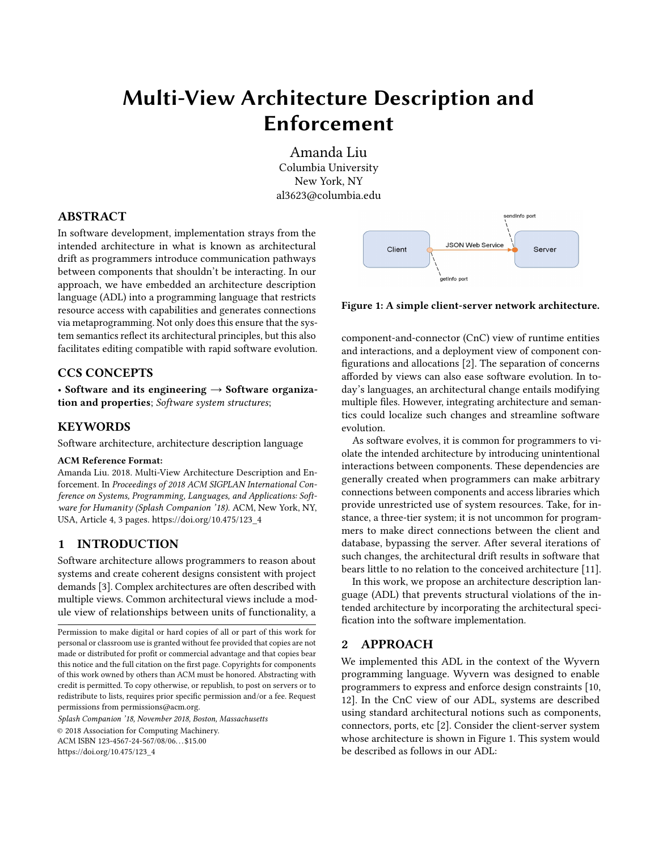# Multi-View Architecture Description and Enforcement

Amanda Liu Columbia University New York, NY al3623@columbia.edu

#### ABSTRACT

In software development, implementation strays from the intended architecture in what is known as architectural drift as programmers introduce communication pathways between components that shouldn't be interacting. In our approach, we have embedded an architecture description language (ADL) into a programming language that restricts resource access with capabilities and generates connections via metaprogramming. Not only does this ensure that the system semantics reflect its architectural principles, but this also facilitates editing compatible with rapid software evolution.

### CCS CONCEPTS

• Software and its engineering  $\rightarrow$  Software organization and properties; Software system structures;

### **KEYWORDS**

Software architecture, architecture description language

#### ACM Reference Format:

Amanda Liu. 2018. Multi-View Architecture Description and Enforcement. In Proceedings of 2018 ACM SIGPLAN International Conference on Systems, Programming, Languages, and Applications: Software for Humanity (Splash Companion '18). ACM, New York, NY, USA, Article 4, [3](#page-2-0) pages. [https://doi.org/10.475/123\\_4](https://doi.org/10.475/123_4)

# 1 INTRODUCTION

Software architecture allows programmers to reason about systems and create coherent designs consistent with project demands [\[3\]](#page-2-1). Complex architectures are often described with multiple views. Common architectural views include a module view of relationships between units of functionality, a

Splash Companion '18, November 2018, Boston, Massachusetts © 2018 Association for Computing Machinery. ACM ISBN 123-4567-24-567/08/06. . . \$15.00 [https://doi.org/10.475/123\\_4](https://doi.org/10.475/123_4)

<span id="page-0-0"></span>

Figure 1: A simple client-server network architecture.

component-and-connector (CnC) view of runtime entities and interactions, and a deployment view of component configurations and allocations [\[2\]](#page-2-2). The separation of concerns afforded by views can also ease software evolution. In today's languages, an architectural change entails modifying multiple files. However, integrating architecture and semantics could localize such changes and streamline software evolution.

As software evolves, it is common for programmers to violate the intended architecture by introducing unintentional interactions between components. These dependencies are generally created when programmers can make arbitrary connections between components and access libraries which provide unrestricted use of system resources. Take, for instance, a three-tier system; it is not uncommon for programmers to make direct connections between the client and database, bypassing the server. After several iterations of such changes, the architectural drift results in software that bears little to no relation to the conceived architecture [\[11\]](#page-2-3).

In this work, we propose an architecture description language (ADL) that prevents structural violations of the intended architecture by incorporating the architectural specification into the software implementation.

# 2 APPROACH

We implemented this ADL in the context of the Wyvern programming language. Wyvern was designed to enable programmers to express and enforce design constraints [\[10,](#page-2-4) [12\]](#page-2-5). In the CnC view of our ADL, systems are described using standard architectural notions such as components, connectors, ports, etc [\[2\]](#page-2-2). Consider the client-server system whose architecture is shown in Figure [1.](#page-0-0) This system would be described as follows in our ADL:

Permission to make digital or hard copies of all or part of this work for personal or classroom use is granted without fee provided that copies are not made or distributed for profit or commercial advantage and that copies bear this notice and the full citation on the first page. Copyrights for components of this work owned by others than ACM must be honored. Abstracting with credit is permitted. To copy otherwise, or republish, to post on servers or to redistribute to lists, requires prior specific permission and/or a fee. Request permissions from permissions@acm.org.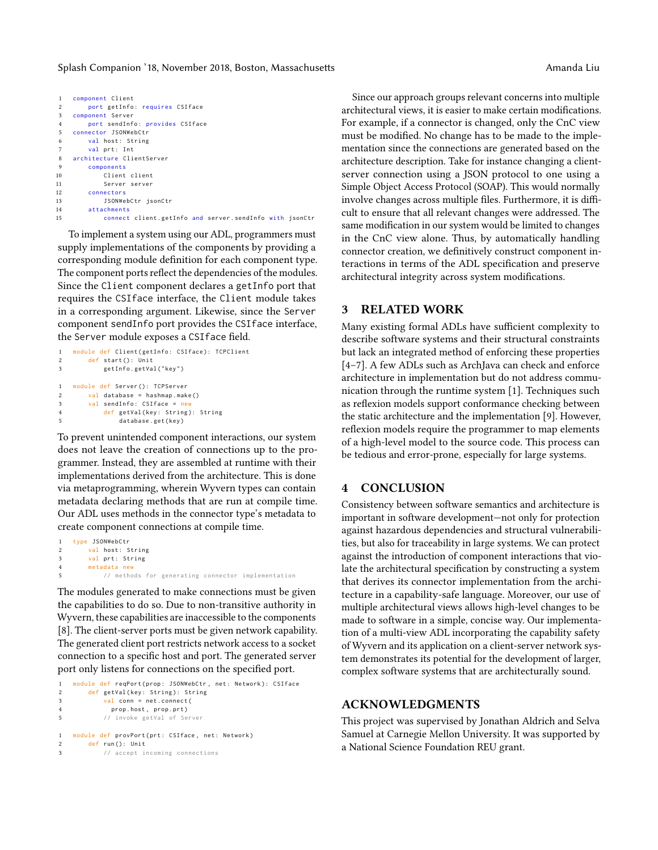```
1 component Client
2 port getInfo: requires CSIface
3 component Server
4 port sendInfo: provides CSIface
5 connector JSONWebCtr
6 val host: String
       val prt: Int
8 architecture ClientServer
9 components
10 Client client
11 Server server
       connectors
13 JSONWebCtr jsonCtr
14 attachments<br>15 connect
           connect client . getInfo and server . sendInfo with jsonCtr
```
To implement a system using our ADL, programmers must supply implementations of the components by providing a corresponding module definition for each component type. The component ports reflect the dependencies of the modules. Since the Client component declares a getInfo port that requires the CSIface interface, the Client module takes in a corresponding argument. Likewise, since the Server component sendInfo port provides the CSIface interface, the Server module exposes a CSIface field.

```
1 module def Client ( getInfo: CSIface ): TCPClient
      def start (): Unit
3 getInfo . getVal ( " key " )
1 module def Server (): TCPServer
2 val database = hashmap . make ()
3 val sendInfo : CSIface = new
4 def getVal (key: String): String
5 database . get ( key )
```
To prevent unintended component interactions, our system does not leave the creation of connections up to the programmer. Instead, they are assembled at runtime with their implementations derived from the architecture. This is done via metaprogramming, wherein Wyvern types can contain metadata declaring methods that are run at compile time. Our ADL uses methods in the connector type's metadata to create component connections at compile time.

```
1 type JSONWebCtr
2 val host: String
3 val prt: String
      metadata new
5 // methods for generating connector implementation
```
The modules generated to make connections must be given the capabilities to do so. Due to non-transitive authority in Wyvern, these capabilities are inaccessible to the components [\[8\]](#page-2-6). The client-server ports must be given network capability. The generated client port restricts network access to a socket connection to a specific host and port. The generated server port only listens for connections on the specified port.

```
1 module def reqPort (prop: JSONWebCtr, net: Network): CSIface
2 def getVal (key: String): String
3 val conn = net . connect (
4 prop . host , prop . prt )
5 // invoke getVal of Server
1 module def provPort (prt: CSIface, net: Network)
2 def run (): Unit
3 // accept incoming connections
```
Since our approach groups relevant concerns into multiple architectural views, it is easier to make certain modifications. For example, if a connector is changed, only the CnC view must be modified. No change has to be made to the implementation since the connections are generated based on the architecture description. Take for instance changing a clientserver connection using a JSON protocol to one using a Simple Object Access Protocol (SOAP). This would normally involve changes across multiple files. Furthermore, it is difficult to ensure that all relevant changes were addressed. The same modification in our system would be limited to changes in the CnC view alone. Thus, by automatically handling connector creation, we definitively construct component interactions in terms of the ADL specification and preserve architectural integrity across system modifications.

# 3 RELATED WORK

Many existing formal ADLs have sufficient complexity to describe software systems and their structural constraints but lack an integrated method of enforcing these properties [\[4–](#page-2-7)[7\]](#page-2-8). A few ADLs such as ArchJava can check and enforce architecture in implementation but do not address communication through the runtime system [\[1\]](#page-2-9). Techniques such as reflexion models support conformance checking between the static architecture and the implementation [\[9\]](#page-2-10). However, reflexion models require the programmer to map elements of a high-level model to the source code. This process can be tedious and error-prone, especially for large systems.

#### 4 CONCLUSION

Consistency between software semantics and architecture is important in software development—not only for protection against hazardous dependencies and structural vulnerabilities, but also for traceability in large systems. We can protect against the introduction of component interactions that violate the architectural specification by constructing a system that derives its connector implementation from the architecture in a capability-safe language. Moreover, our use of multiple architectural views allows high-level changes to be made to software in a simple, concise way. Our implementation of a multi-view ADL incorporating the capability safety of Wyvern and its application on a client-server network system demonstrates its potential for the development of larger, complex software systems that are architecturally sound.

#### ACKNOWLEDGMENTS

This project was supervised by Jonathan Aldrich and Selva Samuel at Carnegie Mellon University. It was supported by a National Science Foundation REU grant.